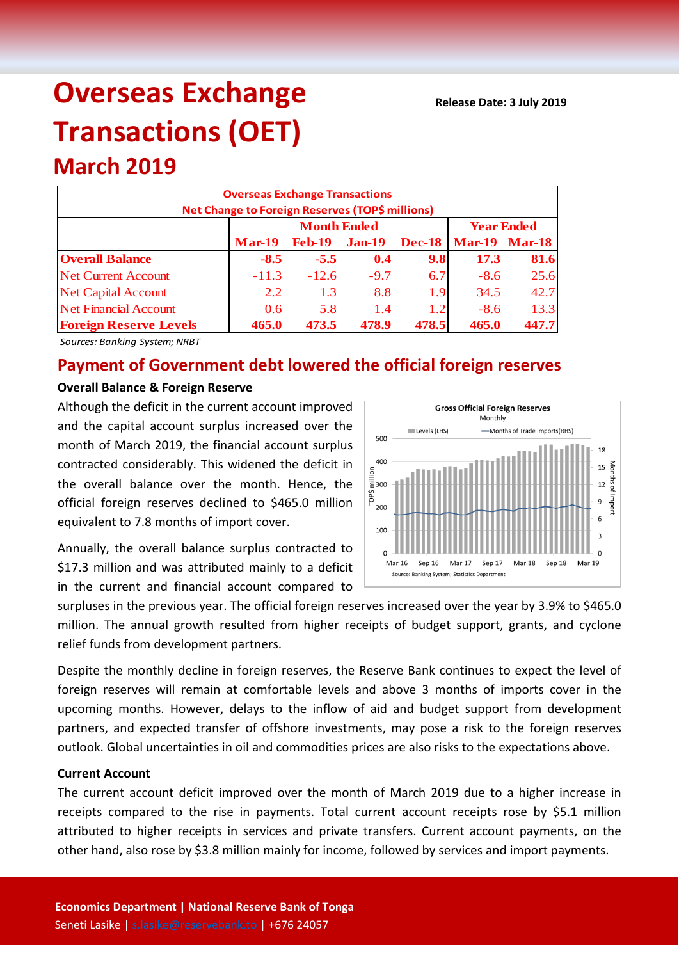# **Overseas Exchange Transactions (OET)**

## **Overseas Exchange Transactions Net Change to Foreign Reserves (TOP\$ millions) Mar-19 Feb-19 Jan-19 Dec-18 Mar-19 Mar-18 Overall Balance -8.5 -5.5 0.4 9.8 17.3 81.6** Net Current Account  $\begin{vmatrix} -11.3 & -12.6 & -9.7 & 6.7 \end{vmatrix}$  -8.6 25.6 Net Capital Account 1 2.2 1.3 8.8 1.9 34.5 42.7 Net Financial Account 0.6 5.8 1.4 1.2 -8.6 13.3 **Foreign Reserve Levels 465.0 473.5 478.9 478.5 465.0 447.7 Month Ended Year Ended**

*Sources: Banking System; NRBT*

**March 2019**

## **Payment of Government debt lowered the official foreign reserves**

#### **Overall Balance & Foreign Reserve**

Although the deficit in the current account improved and the capital account surplus increased over the month of March 2019, the financial account surplus contracted considerably. This widened the deficit in the overall balance over the month. Hence, the official foreign reserves declined to \$465.0 million equivalent to 7.8 months of import cover.

Annually, the overall balance surplus contracted to \$17.3 million and was attributed mainly to a deficit in the current and financial account compared to



surpluses in the previous year. The official foreign reserves increased over the year by 3.9% to \$465.0 million. The annual growth resulted from higher receipts of budget support, grants, and cyclone relief funds from development partners.

Despite the monthly decline in foreign reserves, the Reserve Bank continues to expect the level of foreign reserves will remain at comfortable levels and above 3 months of imports cover in the upcoming months. However, delays to the inflow of aid and budget support from development partners, and expected transfer of offshore investments, may pose a risk to the foreign reserves outlook. Global uncertainties in oil and commodities prices are also risks to the expectations above.

### **Current Account**

The current account deficit improved over the month of March 2019 due to a higher increase in receipts compared to the rise in payments. Total current account receipts rose by \$5.1 million attributed to higher receipts in services and private transfers. Current account payments, on the other hand, also rose by \$3.8 million mainly for income, followed by services and import payments.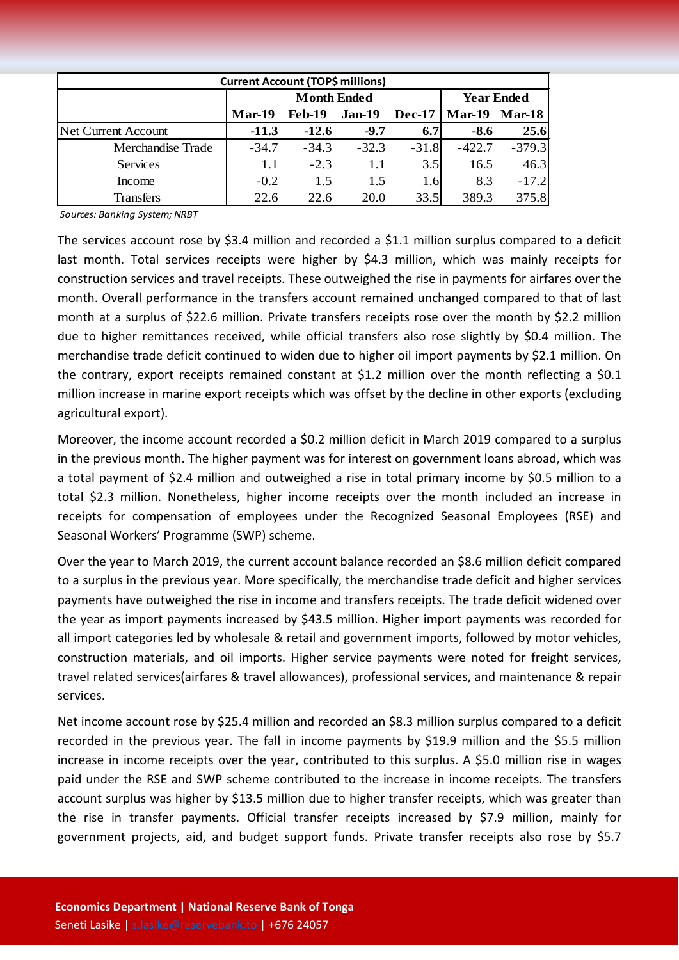| <b>Current Account (TOP\$ millions)</b> |          |                    |                   |               |               |               |  |  |  |
|-----------------------------------------|----------|--------------------|-------------------|---------------|---------------|---------------|--|--|--|
|                                         |          | <b>Month Ended</b> | <b>Year Ended</b> |               |               |               |  |  |  |
|                                         | $Mar-19$ | <b>Feb-19</b>      | Jan-19            | <b>Dec-17</b> | <b>Mar-19</b> | <b>Mar-18</b> |  |  |  |
| <b>Net Current Account</b>              | $-11.3$  | $-12.6$            | $-9.7$            | 6.7           | -8.6          | 25.6          |  |  |  |
| Merchandise Trade                       | $-34.7$  | $-34.3$            | $-32.3$           | $-31.8$       | $-422.7$      | $-379.3$      |  |  |  |
| <b>Services</b>                         | 1.1      | $-2.3$             | 1.1               | 3.5           | 16.5          | 46.3          |  |  |  |
| Income                                  | $-0.2$   | 1.5                | 1.5               | 1.6           | 8.3           | $-17.2$       |  |  |  |
| Transfers                               | 22.6     | 22.6               | 20.0              | 33.5          | 389.3         | 375.8         |  |  |  |

*Sources: Banking System; NRBT*

The services account rose by \$3.4 million and recorded a \$1.1 million surplus compared to a deficit last month. Total services receipts were higher by \$4.3 million, which was mainly receipts for construction services and travel receipts. These outweighed the rise in payments for airfares over the month. Overall performance in the transfers account remained unchanged compared to that of last month at a surplus of \$22.6 million. Private transfers receipts rose over the month by \$2.2 million due to higher remittances received, while official transfers also rose slightly by \$0.4 million. The merchandise trade deficit continued to widen due to higher oil import payments by \$2.1 million. On the contrary, export receipts remained constant at \$1.2 million over the month reflecting a \$0.1 million increase in marine export receipts which was offset by the decline in other exports (excluding agricultural export).

Moreover, the income account recorded a \$0.2 million deficit in March 2019 compared to a surplus in the previous month. The higher payment was for interest on government loans abroad, which was a total payment of \$2.4 million and outweighed a rise in total primary income by \$0.5 million to a total \$2.3 million. Nonetheless, higher income receipts over the month included an increase in receipts for compensation of employees under the Recognized Seasonal Employees (RSE) and Seasonal Workers' Programme (SWP) scheme.

Over the year to March 2019, the current account balance recorded an \$8.6 million deficit compared to a surplus in the previous year. More specifically, the merchandise trade deficit and higher services payments have outweighed the rise in income and transfers receipts. The trade deficit widened over the year as import payments increased by \$43.5 million. Higher import payments was recorded for all import categories led by wholesale & retail and government imports, followed by motor vehicles, construction materials, and oil imports. Higher service payments were noted for freight services, travel related services(airfares & travel allowances), professional services, and maintenance & repair services.

Net income account rose by \$25.4 million and recorded an \$8.3 million surplus compared to a deficit recorded in the previous year. The fall in income payments by \$19.9 million and the \$5.5 million increase in income receipts over the year, contributed to this surplus. A \$5.0 million rise in wages paid under the RSE and SWP scheme contributed to the increase in income receipts. The transfers account surplus was higher by \$13.5 million due to higher transfer receipts, which was greater than the rise in transfer payments. Official transfer receipts increased by \$7.9 million, mainly for government projects, aid, and budget support funds. Private transfer receipts also rose by \$5.7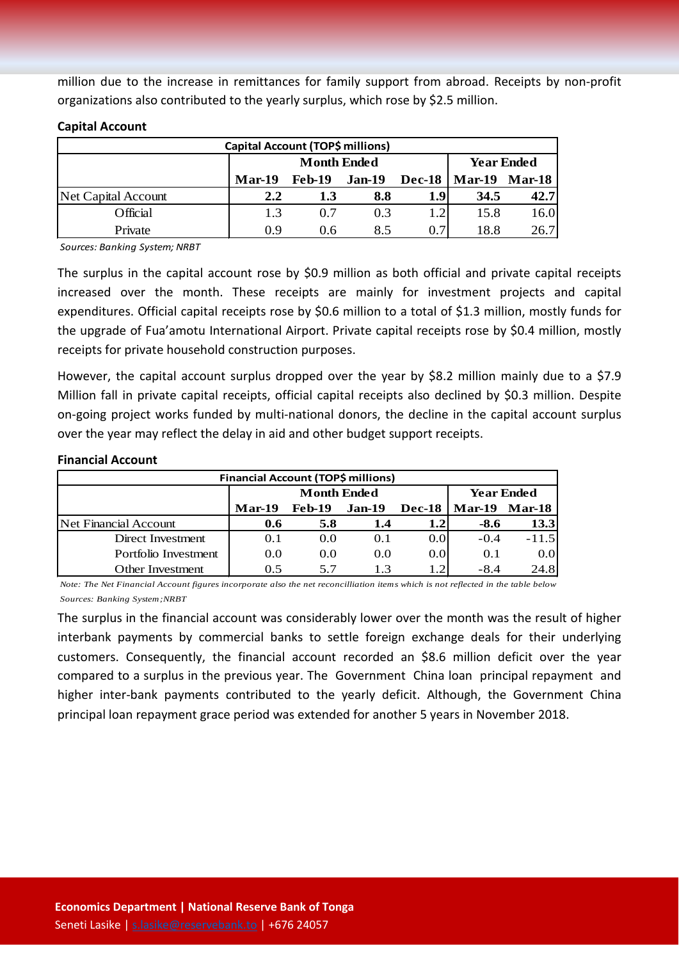million due to the increase in remittances for family support from abroad. Receipts by non-profit organizations also contributed to the yearly surplus, which rose by \$2.5 million.

| Capital Account (TOP\$ millions) |               |                    |                   |               |                      |      |  |  |
|----------------------------------|---------------|--------------------|-------------------|---------------|----------------------|------|--|--|
|                                  |               | <b>Month Ended</b> | <b>Year Ended</b> |               |                      |      |  |  |
|                                  | <b>Mar-19</b> | <b>Feb-19</b>      | <b>Jan-19</b>     | <b>Dec-18</b> | <b>Mar-19 Mar-18</b> |      |  |  |
| Net Capital Account              | 2.2           | 1.3                | 8.8               | 1.9           | 34.5                 | 42.7 |  |  |
| Official                         | 1.3           | 0.7                | 0.3               | 1.2           | 15.8                 | 16.0 |  |  |
| Private                          | 0.9           | 0.6                | 8.5               | 0.7           | 18.8                 | 26.7 |  |  |

#### **Capital Account**

*Sources: Banking System; NRBT*

The surplus in the capital account rose by \$0.9 million as both official and private capital receipts increased over the month. These receipts are mainly for investment projects and capital expenditures. Official capital receipts rose by \$0.6 million to a total of \$1.3 million, mostly funds for the upgrade of Fua'amotu International Airport. Private capital receipts rose by \$0.4 million, mostly receipts for private household construction purposes.

However, the capital account surplus dropped over the year by \$8.2 million mainly due to a \$7.9 Million fall in private capital receipts, official capital receipts also declined by \$0.3 million. Despite on-going project works funded by multi-national donors, the decline in the capital account surplus over the year may reflect the delay in aid and other budget support receipts.

#### **Financial Account**

| Financial Account (TOP\$ millions) |               |                    |                   |               |               |               |  |  |
|------------------------------------|---------------|--------------------|-------------------|---------------|---------------|---------------|--|--|
|                                    |               | <b>Month Ended</b> | <b>Year Ended</b> |               |               |               |  |  |
|                                    | <b>Mar-19</b> | <b>Feb-19</b>      | Jan-19            | <b>Dec-18</b> | <b>Mar-19</b> | <b>Mar-18</b> |  |  |
| Net Financial Account              | 0.6           | 5.8                | 1.4               | 1.2           | $-8.6$        | 13.3          |  |  |
| Direct Investment                  | 0.1           | 0.0                | 0.1               | 0.0           | $-0.4$        | $-11.5$       |  |  |
| Portfolio Investment               | 0.0           | 0.0                | 0.0               | 0.0           | 0.1           | 0.0           |  |  |
| Other Investment                   | 0.5           | 5.7                | 1 <sup>3</sup>    |               | $-8.4$        | 24.8          |  |  |

*Note: The Net Financial Account figures incorporate also the net reconcilliation items which is not reflected in the table below Sources: Banking System;NRBT*

The surplus in the financial account was considerably lower over the month was the result of higher interbank payments by commercial banks to settle foreign exchange deals for their underlying customers. Consequently, the financial account recorded an \$8.6 million deficit over the year compared to a surplus in the previous year. The Government China loan principal repayment and higher inter-bank payments contributed to the yearly deficit. Although, the Government China principal loan repayment grace period was extended for another 5 years in November 2018.